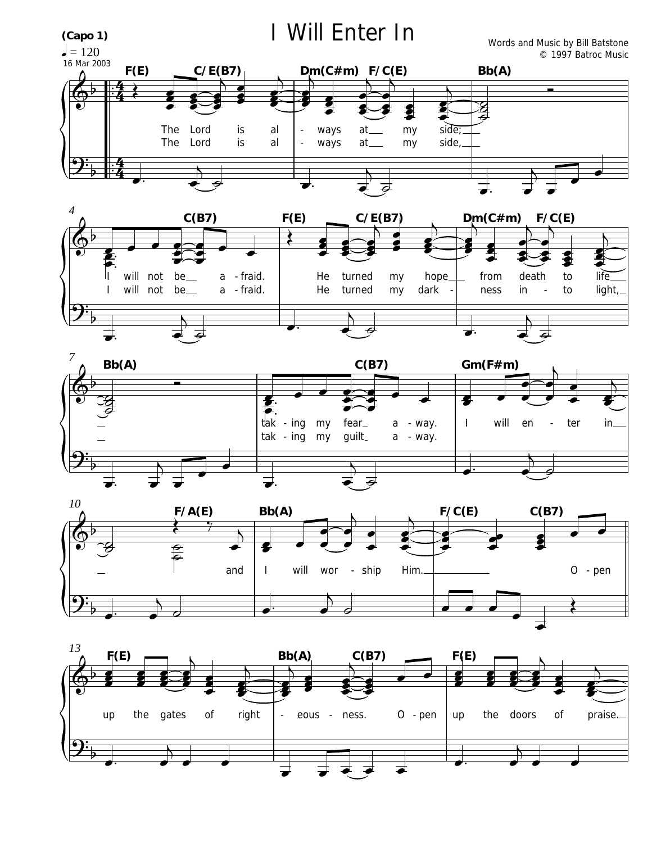